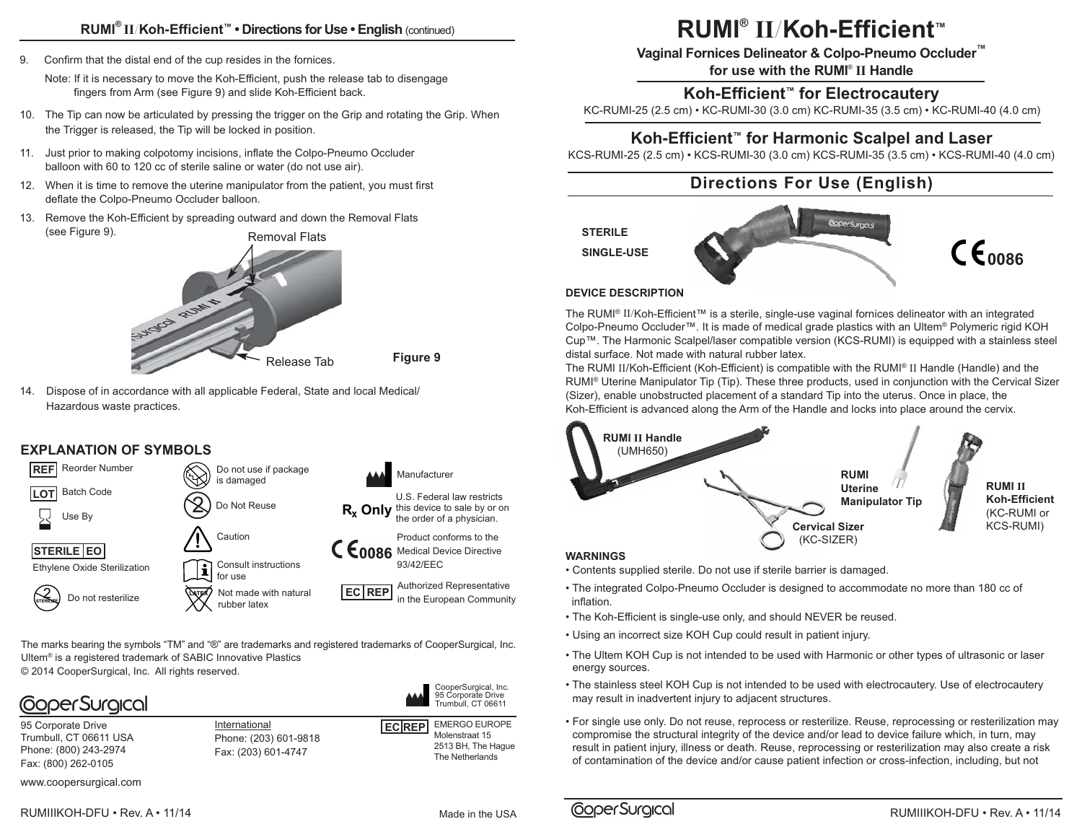### **RUMI® II**/**Koh-Efficient™ • Directions for Use • English** (continued)

9. Confirm that the distal end of the cup resides in the fornices.

 Note: If it is necessary to move the Koh-Efficient, push the release tab to disengage fingers from Arm (see Figure 9) and slide Koh-Efficient back.

- 10. The Tip can now be articulated by pressing the trigger on the Grip and rotating the Grip. When the Trigger is released, the Tip will be locked in position.
- 11. Just prior to making colpotomy incisions, inflate the Colpo-Pneumo Occluder balloon with 60 to 120 cc of sterile saline or water (do not use air).
- 12. When it is time to remove the uterine manipulator from the patient, you must first deflate the Colpo-Pneumo Occluder balloon.
- 13. Remove the Koh-Efficient by spreading outward and down the Removal Flats (see Figure 9). Removal Flats



**Figure 9**

14. Dispose of in accordance with all applicable Federal, State and local Medical/ Hazardous waste practices.

### **EXPLANATION OF SYMBOLS**



The marks bearing the symbols "TM" and "®" are trademarks and registered trademarks of CooperSurgical, Inc. Ultem® is a registered trademark of SABIC Innovative Plastics © 2014 CooperSurgical, Inc. All rights reserved.



95 Corporate Drive Trumbull, CT 06611 USA Phone: (800) 243-2974 Fax: (800) 262-0105

**International ECREP** Phone: (203) 601-9818 Fax: (203) 601-4747

EMERGO EUROPE Molenstraat 15 2513 BH, The Hague The Netherlands

CooperSurgical, Inc. 95 Corporate Drive oo oorporato Drivo<br>Trumbull, CT 06611

www.coopersurgical.com

RUMIIIKOH-DFU • Rev. A • 11/14

Made in the USA

# **RUMI® II**/**Koh-Efficient™**

**Vaginal Fornices Delineator & Colpo-Pneumo Occluder™**

**for use with the RUMI**® **II Handle**

### **Koh-Efficient™ for Electrocautery**

KC-RUMI-25 (2.5 cm) • KC-RUMI-30 (3.0 cm) KC-RUMI-35 (3.5 cm) • KC-RUMI-40 (4.0 cm)

### **Koh-Efficient™ for Harmonic Scalpel and Laser**

KCS-RUMI-25 (2.5 cm) • KCS-RUMI-30 (3.0 cm) KCS-RUMI-35 (3.5 cm) • KCS-RUMI-40 (4.0 cm)

### **Directions For Use (English)**





### **DEVICE DESCRIPTION**

The RUMI® II/Koh-Efficient™ is a sterile, single-use vaginal fornices delineator with an integrated Colpo-Pneumo Occluder™. It is made of medical grade plastics with an Ultem® Polymeric rigid KOH Cup™. The Harmonic Scalpel/laser compatible version (KCS-RUMI) is equipped with a stainless steel distal surface. Not made with natural rubber latex.

The RUMI II/Koh-Efficient (Koh-Efficient) is compatible with the RUMI® II Handle (Handle) and the RUMI® Uterine Manipulator Tip (Tip). These three products, used in conjunction with the Cervical Sizer (Sizer), enable unobstructed placement of a standard Tip into the uterus. Once in place, the Koh-Efficient is advanced along the Arm of the Handle and locks into place around the cervix.



- Contents supplied sterile. Do not use if sterile barrier is damaged.
- The integrated Colpo-Pneumo Occluder is designed to accommodate no more than 180 cc of inflation.
- The Koh-Efficient is single-use only, and should NEVER be reused.
- Using an incorrect size KOH Cup could result in patient injury.
- The Ultem KOH Cup is not intended to be used with Harmonic or other types of ultrasonic or laser energy sources.
- The stainless steel KOH Cup is not intended to be used with electrocautery. Use of electrocautery may result in inadvertent injury to adjacent structures.
- For single use only. Do not reuse, reprocess or resterilize. Reuse, reprocessing or resterilization may compromise the structural integrity of the device and/or lead to device failure which, in turn, may result in patient injury, illness or death. Reuse, reprocessing or resterilization may also create a risk of contamination of the device and/or cause patient infection or cross-infection, including, but not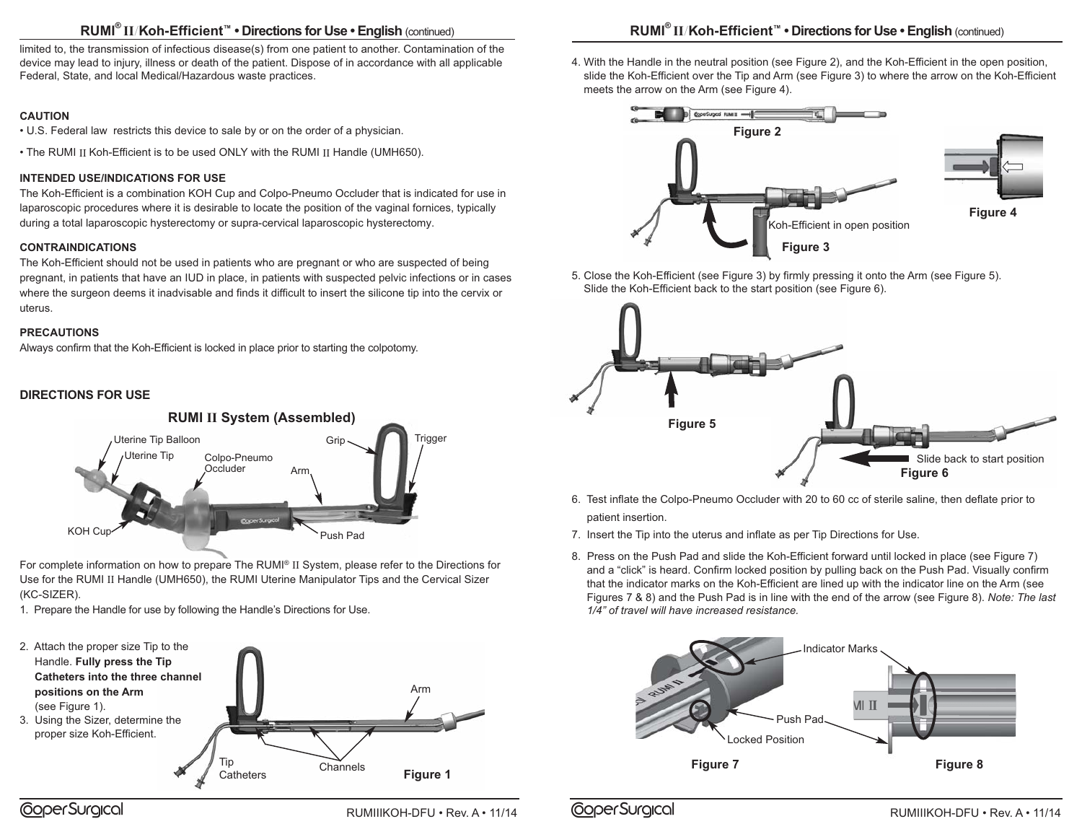### **RUMI® II**/**Koh-Efficient™ • Directions for Use • English** (continued)

limited to, the transmission of infectious disease(s) from one patient to another. Contamination of the device may lead to injury, illness or death of the patient. Dispose of in accordance with all applicable Federal, State, and local Medical/Hazardous waste practices.

#### **CAUTION**

• U.S. Federal law restricts this device to sale by or on the order of a physician.

• The RUMI II Koh-Efficient is to be used ONLY with the RUMI II Handle (UMH650).

#### **INTENDED USE/INDICATIONS FOR USE**

The Koh-Efficient is a combination KOH Cup and Colpo-Pneumo Occluder that is indicated for use in laparoscopic procedures where it is desirable to locate the position of the vaginal fornices, typically during a total laparoscopic hysterectomy or supra-cervical laparoscopic hysterectomy.

### **CONTRAINDICATIONS**

The Koh-Efficient should not be used in patients who are pregnant or who are suspected of being pregnant, in patients that have an IUD in place, in patients with suspected pelvic infections or in cases where the surgeon deems it inadvisable and finds it difficult to insert the silicone tip into the cervix or uterus.

#### **PRECAUTIONS**

Always confirm that the Koh-Efficient is locked in place prior to starting the colpotomy.

### **DIRECTIONS FOR USE**



For complete information on how to prepare The RUMI® II System, please refer to the Directions for Use for the RUMI II Handle (UMH650), the RUMI Uterine Manipulator Tips and the Cervical Sizer (KC-SIZER).

1. Prepare the Handle for use by following the Handle's Directions for Use.



4. With the Handle in the neutral position (see Figure 2), and the Koh-Efficient in the open position, slide the Koh-Efficient over the Tip and Arm (see Figure 3) to where the arrow on the Koh-Efficient meets the arrow on the Arm (see Figure 4).



5. Close the Koh-Efficient (see Figure 3) by firmly pressing it onto the Arm (see Figure 5). Slide the Koh-Efficient back to the start position (see Figure 6).



- 6. Test inflate the Colpo-Pneumo Occluder with 20 to 60 cc of sterile saline, then deflate prior to patient insertion.
- 7. Insert the Tip into the uterus and inflate as per Tip Directions for Use.
- 8. Press on the Push Pad and slide the Koh-Efficient forward until locked in place (see Figure 7) and a "click" is heard. Confirm locked position by pulling back on the Push Pad. Visually confirm that the indicator marks on the Koh-Efficient are lined up with the indicator line on the Arm (see Figures 7 & 8) and the Push Pad is in line with the end of the arrow (see Figure 8). *Note: The last 1/4" of travel will have increased resistance.*



RUMIIIKOH-DFU • Rev. A • 11/14 **COPERSUIGICOL** RUMIIIKOH-DFU • Rev. A • 11/14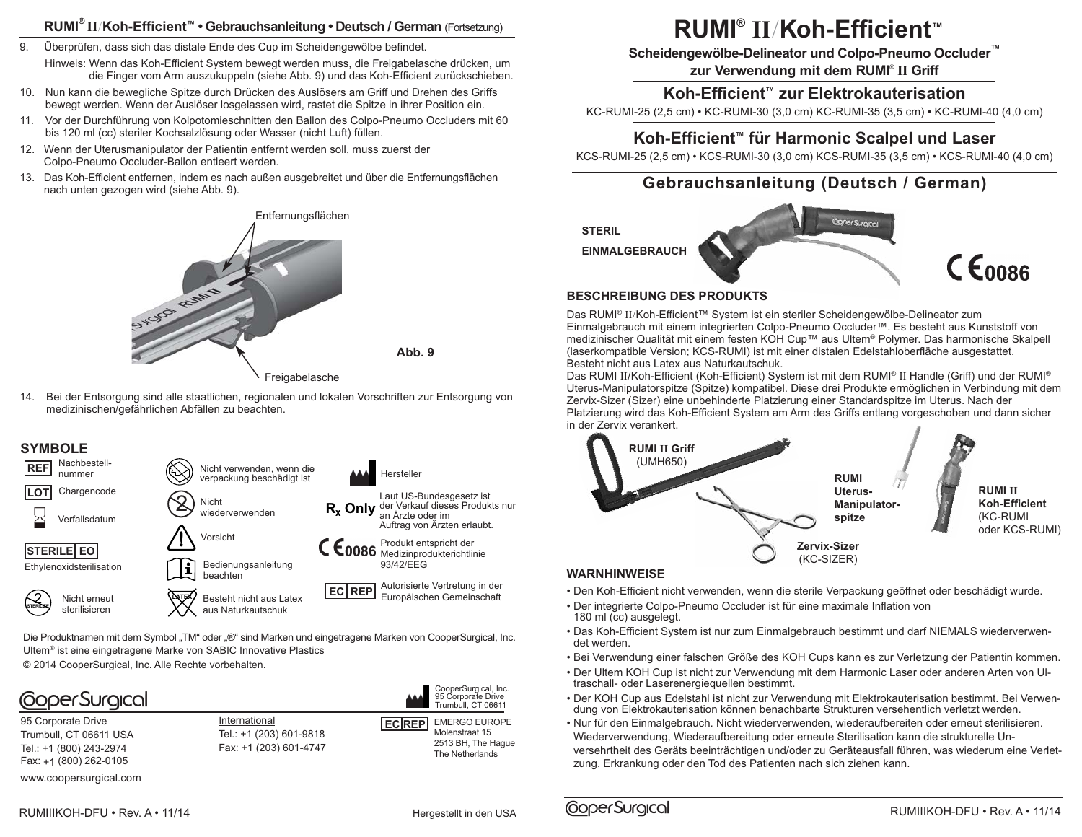### **RUMI® II**/**Koh-Efficient™ • Gebrauchsanleitung • Deutsch / German** (Fortsetzung)

- 9. Überprüfen, dass sich das distale Ende des Cup im Scheidengewölbe befindet. Hinweis: Wenn das Koh-Efficient System bewegt werden muss, die Freigabelasche drücken, um die Finger vom Arm auszukuppeln (siehe Abb. 9) und das Koh-Efficient zurückschieben.
- 10. Nun kann die bewegliche Spitze durch Drücken des Auslösers am Griff und Drehen des Griffs bewegt werden. Wenn der Auslöser losgelassen wird, rastet die Spitze in ihrer Position ein.
- 11. Vor der Durchführung von Kolpotomieschnitten den Ballon des Colpo-Pneumo Occluders mit 60 bis 120 ml (cc) steriler Kochsalzlösung oder Wasser (nicht Luft) füllen.
- 12. Wenn der Uterusmanipulator der Patientin entfernt werden soll, muss zuerst der Colpo-Pneumo Occluder-Ballon entleert werden.
- 13. Das Koh-Efficient entfernen, indem es nach außen ausgebreitet und über die Entfernungsflächen nach unten gezogen wird (siehe Abb. 9).



Freigabelasche

**Abb. 9**

14. Bei der Entsorgung sind alle staatlichen, regionalen und lokalen Vorschriften zur Entsorgung von medizinischen/gefährlichen Abfällen zu beachten.

### **SYMBOLE**



Die Produktnamen mit dem Symbol "TM" oder "®" sind Marken und eingetragene Marken von CooperSurgical, Inc. Ultem® ist eine eingetragene Marke von SABIC Innovative Plastics © 2014 CooperSurgical, Inc. Alle Rechte vorbehalten.



95 Corporate Drive Trumbull, CT 06611 USA Tel.: +1 (800) 243-2974 Fax: +1 (800) 262-0105

www.coopersurgical.com

International Tel.: +1 (203) 601-9818 Fax: +1 (203) 601-4747 **EC REP** EMERGO EUROPE Molenstraat 15 2513 BH, The Hague The Netherlands Trumbull, CT 06611

CooperSurgical, Inc. 95 Corporate Drive

# **RUMI® II**/**Koh-Efficient™**

**Scheidengewölbe-Delineator und Colpo-Pneumo Occluder™**

**zur Verwendung mit dem RUMI**® **II Griff**

### **Koh-Efficient™ zur Elektrokauterisation**

KC-RUMI-25 (2,5 cm) • KC-RUMI-30 (3,0 cm) KC-RUMI-35 (3,5 cm) • KC-RUMI-40 (4,0 cm)

### **Koh-Efficient™ für Harmonic Scalpel und Laser**

KCS-RUMI-25 (2,5 cm) • KCS-RUMI-30 (3,0 cm) KCS-RUMI-35 (3,5 cm) • KCS-RUMI-40 (4,0 cm)

### **Gebrauchsanleitung (Deutsch / German)**



### **BESCHREIBUNG DES PRODUKTS**

Das RUMI® II/Koh-Efficient™ System ist ein steriler Scheidengewölbe-Delineator zum Einmalgebrauch mit einem integrierten Colpo-Pneumo Occluder™. Es besteht aus Kunststoff von medizinischer Qualität mit einem festen KOH Cup™ aus Ultem® Polymer. Das harmonische Skalpell (laserkompatible Version; KCS-RUMI) ist mit einer distalen Edelstahloberfläche ausgestattet. Besteht nicht aus Latex aus Naturkautschuk.

Das RUMI II/Koh-Efficient (Koh-Efficient) System ist mit dem RUMI® II Handle (Griff) und der RUMI® Uterus-Manipulatorspitze (Spitze) kompatibel. Diese drei Produkte ermöglichen in Verbindung mit dem Zervix-Sizer (Sizer) eine unbehinderte Platzierung einer Standardspitze im Uterus. Nach der Platzierung wird das Koh-Efficient System am Arm des Griffs entlang vorgeschoben und dann sicher in der Zervix verankert.



### **WARNHINWEISE**

**CoperSurgical** 

- Den Koh-Efficient nicht verwenden, wenn die sterile Verpackung geöffnet oder beschädigt wurde.
- Der integrierte Colpo-Pneumo Occluder ist für eine maximale Inflation von 180 ml (cc) ausgelegt.
- Das Koh-Efficient System ist nur zum Einmalgebrauch bestimmt und darf NIEMALS wiederverwendet werden.
- Bei Verwendung einer falschen Größe des KOH Cups kann es zur Verletzung der Patientin kommen.
- Der Ultem KOH Cup ist nicht zur Verwendung mit dem Harmonic Laser oder anderen Arten von Ultraschall- oder Laserenergiequellen bestimmt.
- Der KOH Cup aus Edelstahl ist nicht zur Verwendung mit Elektrokauterisation bestimmt. Bei Verwendung von Elektrokauterisation können benachbarte Strukturen versehentlich verletzt werden.
- Nur für den Einmalgebrauch. Nicht wiederverwenden, wiederaufbereiten oder erneut sterilisieren. Wiederverwendung, Wiederaufbereitung oder erneute Sterilisation kann die strukturelle Unversehrtheit des Geräts beeinträchtigen und/oder zu Geräteausfall führen, was wiederum eine Verletzung, Erkrankung oder den Tod des Patienten nach sich ziehen kann.

Hergestellt in den USA

 $C \epsilon_{0086}$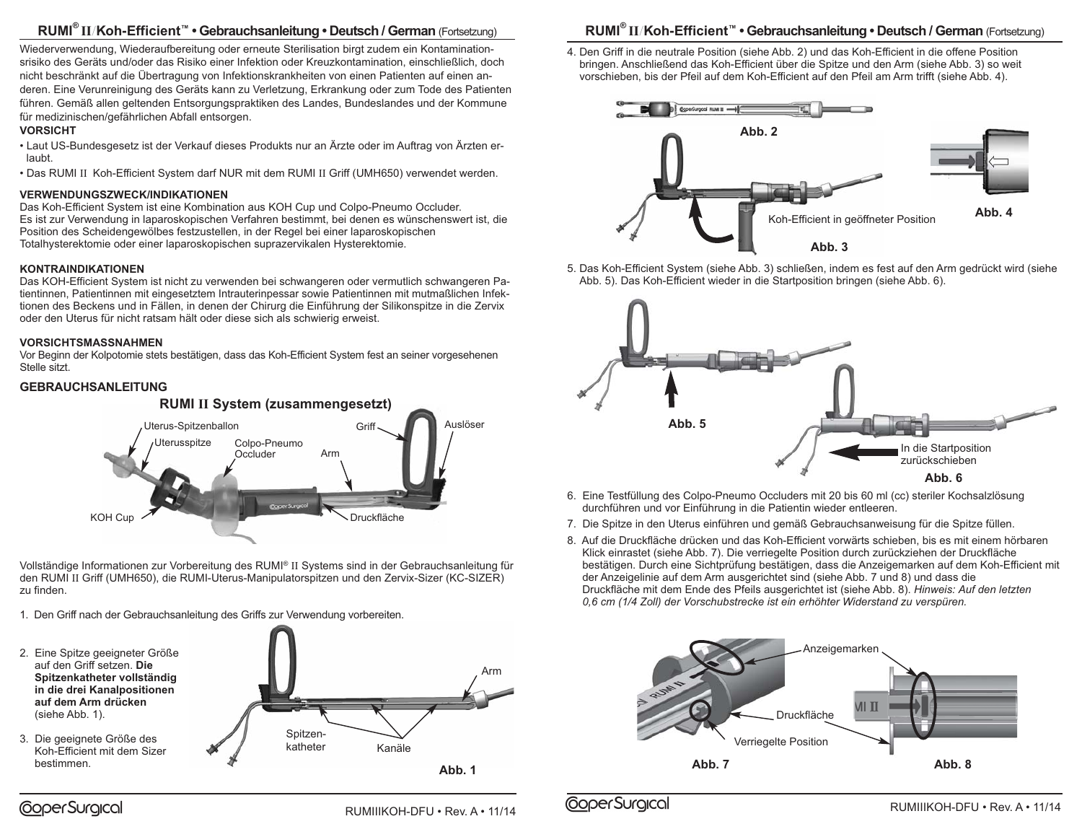### **RUMI® II**/**Koh-Efficient™ • Gebrauchsanleitung • Deutsch / German** (Fortsetzung)

Wiederverwendung, Wiederaufbereitung oder erneute Sterilisation birgt zudem ein Kontaminationsrisiko des Geräts und/oder das Risiko einer Infektion oder Kreuzkontamination, einschließlich, doch nicht beschränkt auf die Übertragung von Infektionskrankheiten von einen Patienten auf einen anderen. Eine Verunreinigung des Geräts kann zu Verletzung, Erkrankung oder zum Tode des Patienten führen. Gemäß allen geltenden Entsorgungspraktiken des Landes, Bundeslandes und der Kommune für medizinischen/gefährlichen Abfall entsorgen.

#### **VORSICHT**

- Laut US-Bundesgesetz ist der Verkauf dieses Produkts nur an Ärzte oder im Auftrag von Ärzten erlaubt.
- Das RUMI II Koh-Efficient System darf NUR mit dem RUMI II Griff (UMH650) verwendet werden.

#### **VERWENDUNGSZWECK/INDIKATIONEN**

Das Koh-Efficient System ist eine Kombination aus KOH Cup und Colpo-Pneumo Occluder. Es ist zur Verwendung in laparoskopischen Verfahren bestimmt, bei denen es wünschenswert ist, die Position des Scheidengewölbes festzustellen, in der Regel bei einer laparoskopischen Totalhysterektomie oder einer laparoskopischen suprazervikalen Hysterektomie.

#### **KONTRAINDIKATIONEN**

Das KOH-Efficient System ist nicht zu verwenden bei schwangeren oder vermutlich schwangeren Patientinnen, Patientinnen mit eingesetztem Intrauterinpessar sowie Patientinnen mit mutmaßlichen Infektionen des Beckens und in Fällen, in denen der Chirurg die Einführung der Silikonspitze in die Zervix oder den Uterus für nicht ratsam hält oder diese sich als schwierig erweist.

#### **VORSICHTSMASSNAHMEN**

Vor Beginn der Kolpotomie stets bestätigen, dass das Koh-Efficient System fest an seiner vorgesehenen Stelle sitzt.

### **GEBRAUCHSANLEITUNG**



Vollständige Informationen zur Vorbereitung des RUMI® II Systems sind in der Gebrauchsanleitung für den RUMI II Griff (UMH650), die RUMI-Uterus-Manipulatorspitzen und den Zervix-Sizer (KC-SIZER) zu finden.

- 1. Den Griff nach der Gebrauchsanleitung des Griffs zur Verwendung vorbereiten.
- auf den Griff setzen. **Die Spitzenkatheter vollständig in die drei Kanalpositionen auf dem Arm drücken**  (siehe Abb. 1).
- 3. Die geeignete Größe des Koh-Efficient mit dem Sizer bestimmen.

CoperSurgical



**RUMI® II**/**Koh-Efficient™ • Gebrauchsanleitung • Deutsch / German** (Fortsetzung)

4. Den Griff in die neutrale Position (siehe Abb. 2) und das Koh-Efficient in die offene Position bringen. Anschließend das Koh-Efficient über die Spitze und den Arm (siehe Abb. 3) so weit vorschieben, bis der Pfeil auf dem Koh-Efficient auf den Pfeil am Arm trifft (siehe Abb. 4).



5. Das Koh-Efficient System (siehe Abb. 3) schließen, indem es fest auf den Arm gedrückt wird (siehe Abb. 5). Das Koh-Efficient wieder in die Startposition bringen (siehe Abb. 6).



- 6. Eine Testfüllung des Colpo-Pneumo Occluders mit 20 bis 60 ml (cc) steriler Kochsalzlösung durchführen und vor Einführung in die Patientin wieder entleeren.
- 7. Die Spitze in den Uterus einführen und gemäß Gebrauchsanweisung für die Spitze füllen.
- 8. Auf die Druckfläche drücken und das Koh-Efficient vorwärts schieben, bis es mit einem hörbaren Klick einrastet (siehe Abb. 7). Die verriegelte Position durch zurückziehen der Druckfläche bestätigen. Durch eine Sichtprüfung bestätigen, dass die Anzeigemarken auf dem Koh-Efficient mit der Anzeigelinie auf dem Arm ausgerichtet sind (siehe Abb. 7 und 8) und dass die Druckfläche mit dem Ende des Pfeils ausgerichtet ist (siehe Abb. 8). *Hinweis: Auf den letzten 0,6 cm (1/4 Zoll) der Vorschubstrecke ist ein erhöhter Widerstand zu verspüren.*

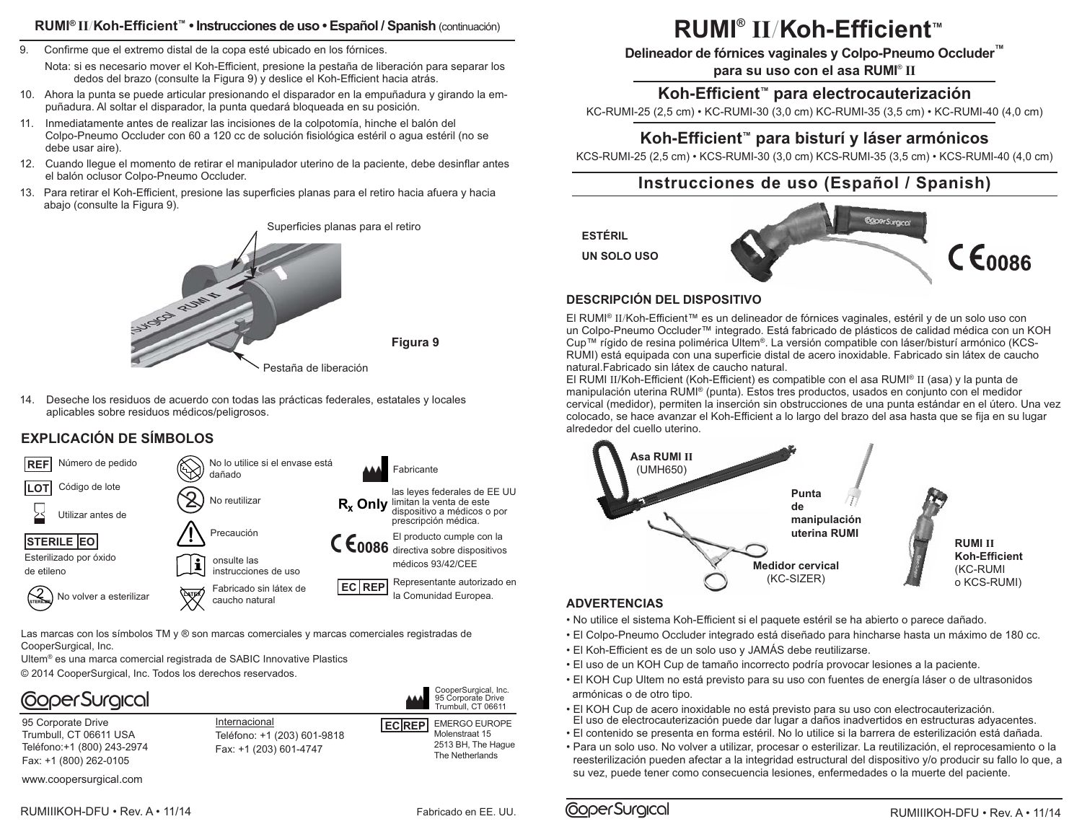### **RUMI® II**/**Koh-Efficient™ • Instrucciones de uso • Español / Spanish** (continuación)

- 9. Confirme que el extremo distal de la copa esté ubicado en los fórnices. Nota: si es necesario mover el Koh-Efficient, presione la pestaña de liberación para separar los dedos del brazo (consulte la Figura 9) y deslice el Koh-Efficient hacia atrás.
- 10. Ahora la punta se puede articular presionando el disparador en la empuñadura y girando la empuñadura. Al soltar el disparador, la punta quedará bloqueada en su posición.
- 11. Inmediatamente antes de realizar las incisiones de la colpotomía, hinche el balón del Colpo-Pneumo Occluder con 60 a 120 cc de solución fisiológica estéril o agua estéril (no se debe usar aire).
- 12. Cuando llegue el momento de retirar el manipulador uterino de la paciente, debe desinflar antes el balón oclusor Colpo-Pneumo Occluder.
- 13. Para retirar el Koh-Efficient, presione las superficies planas para el retiro hacia afuera y hacia abajo (consulte la Figura 9).



14. Deseche los residuos de acuerdo con todas las prácticas federales, estatales y locales aplicables sobre residuos médicos/peligrosos.

### **EXPLICACIÓN DE SÍMBOLOS**



Las marcas con los símbolos TM y ® son marcas comerciales y marcas comerciales registradas de CooperSurgical, Inc.

Ultem® es una marca comercial registrada de SABIC Innovative Plastics © 2014 CooperSurgical, Inc. Todos los derechos reservados.

# **CoperSurgical**

95 Corporate Drive Trumbull, CT 06611 USA Teléfono:+1 (800) 243-2974 Fax: +1 (800) 262-0105

www.coopersurgical.com

Internacional Teléfono: +1 (203) 601-9818 Fax: +1 (203) 601-4747

**ECREP** EMERGO
EUROPE Molenstraat 15 2513 BH, The Hague The Netherlands CooperSurgical, Inc. 95 Corporate Drive Trumbull, CT 06611

**RUMI® II**/**Koh-Efficient™**

**Delineador de fórnices vaginales y Colpo-Pneumo Occluder™**

**para su uso con el asa RUMI**® **II**

### **Koh-Efficient™ para electrocauterización**

KC-RUMI-25 (2,5 cm) • KC-RUMI-30 (3,0 cm) KC-RUMI-35 (3,5 cm) • KC-RUMI-40 (4,0 cm)

### **Koh-Efficient™ para bisturí y láser armónicos**

KCS-RUMI-25 (2,5 cm) • KCS-RUMI-30 (3,0 cm) KCS-RUMI-35 (3,5 cm) • KCS-RUMI-40 (4,0 cm)

### **Instrucciones de uso (Español / Spanish)**

**ESTÉRIL**

**UN SOLO USO**



### **DESCRIPCIÓN DEL DISPOSITIVO**

El RUMI® II/Koh-Efficient™ es un delineador de fórnices vaginales, estéril y de un solo uso con un Colpo-Pneumo Occluder™ integrado. Está fabricado de plásticos de calidad médica con un KOH Cup™ rígido de resina polimérica Ultem®. La versión compatible con láser/bisturí armónico (KCS-RUMI) está equipada con una superficie distal de acero inoxidable. Fabricado sin látex de caucho natural.Fabricado sin látex de caucho natural.

El RUMI II/Koh-Efficient (Koh-Efficient) es compatible con el asa RUMI® II (asa) y la punta de manipulación uterina RUMI® (punta). Estos tres productos, usados en conjunto con el medidor cervical (medidor), permiten la inserción sin obstrucciones de una punta estándar en el útero. Una vez colocado, se hace avanzar el Koh-Efficient a lo largo del brazo del asa hasta que se fija en su lugar alrededor del cuello uterino.



#### **ADVERTENCIAS**

- No utilice el sistema Koh-Efficient si el paquete estéril se ha abierto o parece dañado.
- El Colpo-Pneumo Occluder integrado está diseñado para hincharse hasta un máximo de 180 cc.
- El Koh-Efficient es de un solo uso y JAMÁS debe reutilizarse.
- El uso de un KOH Cup de tamaño incorrecto podría provocar lesiones a la paciente.
- El KOH Cup Ultem no está previsto para su uso con fuentes de energía láser o de ultrasonidos armónicas o de otro tipo.
- El KOH Cup de acero inoxidable no está previsto para su uso con electrocauterización.
- El uso de electrocauterización puede dar lugar a daños inadvertidos en estructuras adyacentes. • El contenido se presenta en forma estéril. No lo utilice si la barrera de esterilización está dañada.
- Para un solo uso. No volver a utilizar, procesar o esterilizar. La reutilización, el reprocesamiento o la
- reesterilización pueden afectar a la integridad estructural del dispositivo y/o producir su fallo lo que, a su vez, puede tener como consecuencia lesiones, enfermedades o la muerte del paciente.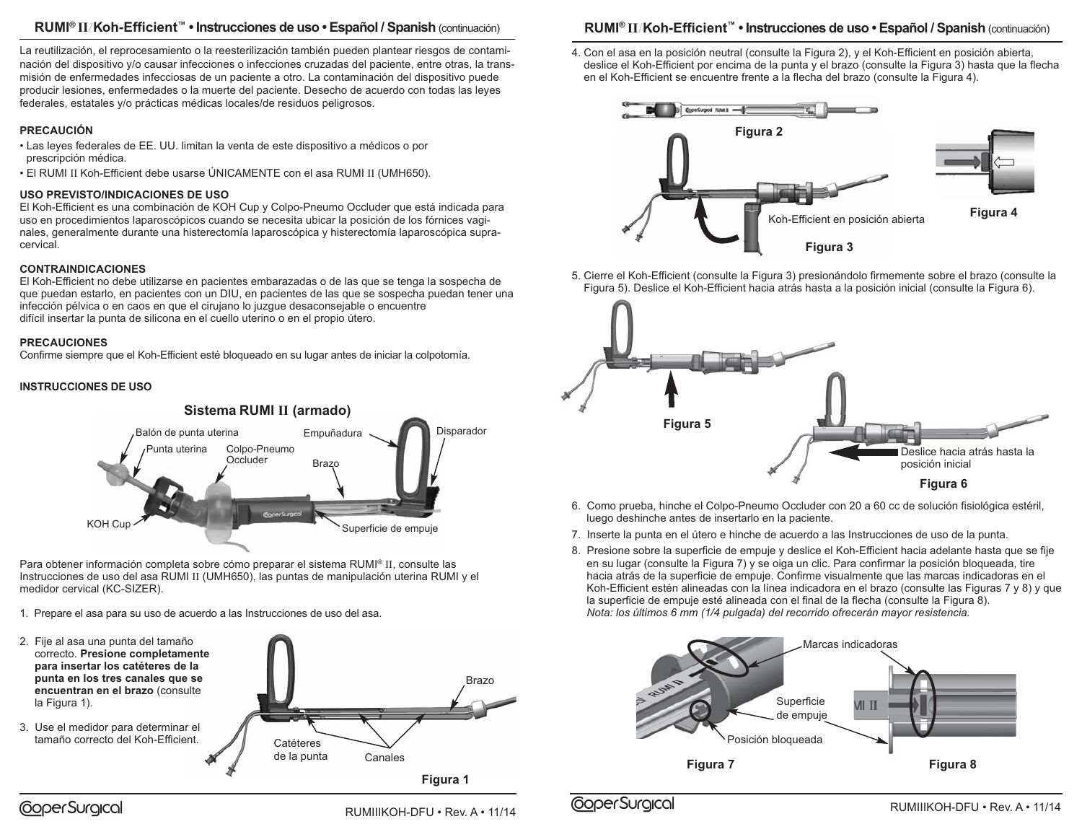### **RUMI® II**/**Koh-Efficient™ • Instrucciones de uso • Español / Spanish** (continuación)

La reutilización, el reprocesamiento o la reesterilización también pueden plantear riesgos de contaminación del dispositivo y/o causar infecciones o infecciones cruzadas del paciente, entre otras, la transmisión de enfermedades infecciosas de un paciente a otro. La contaminación del dispositivo puede producir lesiones, enfermedades o la muerte del paciente. Desecho de acuerdo con todas las leyes federales, estatales y/o prácticas médicas locales/de residuos peligrosos.

#### **PRECAUCIÓN**

- Las leyes federales de EE. UU. limitan la venta de este dispositivo a médicos o por prescripción médica.
- El RUMI II Koh-Efficient debe usarse ÚNICAMENTE con el asa RUMI II (UMH650).

### **USO PREVISTO/INDICACIONES DE USO**

El Koh-Efficient es una combinación de KOH Cup y Colpo-Pneumo Occluder que está indicada para uso en procedimientos laparoscópicos cuando se necesita ubicar la posición de los fórnices vaginales, generalmente durante una histerectomía laparoscópica y histerectomía laparoscópica supracervical.

#### **CONTRAINDICACIONES**

El Koh-Efficient no debe utilizarse en pacientes embarazadas o de las que se tenga la sospecha de que puedan estarlo, en pacientes con un DIU, en pacientes de las que se sospecha puedan tener una infección pélvica o en caos en que el cirujano lo juzgue desaconsejable o encuentre difícil insertar la punta de silicona en el cuello uterino o en el propio útero.

#### **PRECAUCIONES**

Confirme siempre que el Koh-Efficient esté bloqueado en su lugar antes de iniciar la colpotomía.

#### **INSTRUCCIONES DE USO**



Para obtener información completa sobre cómo preparar el sistema RUMI® II, consulte las Instrucciones de uso del asa RUMI II (UMH650), las puntas de manipulación uterina RUMI y el medidor cervical (KC-SIZER).

1. Prepare el asa para su uso de acuerdo a las Instrucciones de uso del asa.



### **RUMI® II**/**Koh-Efficient™ • Instrucciones de uso • Español / Spanish** (continuación)

4. Con el asa en la posición neutral (consulte la Figura 2), y el Koh-Efficient en posición abierta, deslice el Koh-Efficient por encima de la punta y el brazo (consulte la Figura 3) hasta que la flecha en el Koh-Efficient se encuentre frente a la flecha del brazo (consulte la Figura 4).



5. Cierre el Koh-Efficient (consulte la Figura 3) presionándolo firmemente sobre el brazo (consulte la Figura 5). Deslice el Koh-Efficient hacia atrás hasta a la posición inicial (consulte la Figura 6).



- 6. Como prueba, hinche el Colpo-Pneumo Occluder con 20 a 60 cc de solución fisiológica estéril, luego deshinche antes de insertarlo en la paciente.
- 7. Inserte la punta en el útero e hinche de acuerdo a las Instrucciones de uso de la punta.
- 8. Presione sobre la superficie de empuje y deslice el Koh-Efficient hacia adelante hasta que se fije en su lugar (consulte la Figura 7) y se oiga un clic. Para confirmar la posición bloqueada, tire hacia atrás de la superficie de empuje. Confirme visualmente que las marcas indicadoras en el Koh-Efficient estén alineadas con la línea indicadora en el brazo (consulte las Figuras 7 y 8) y que la superficie de empuje esté alineada con el final de la flecha (consulte la Figura 8). *Nota: los últimos 6 mm (1/4 pulgada) del recorrido ofrecerán mayor resistencia.*



RUMIIIKOH-DFU • Rev. A • 11/14 **CoperSurgical** COPER COPER ENGLES CONTENTS RUMIIIKOH-DFU • Rev. A • 11/14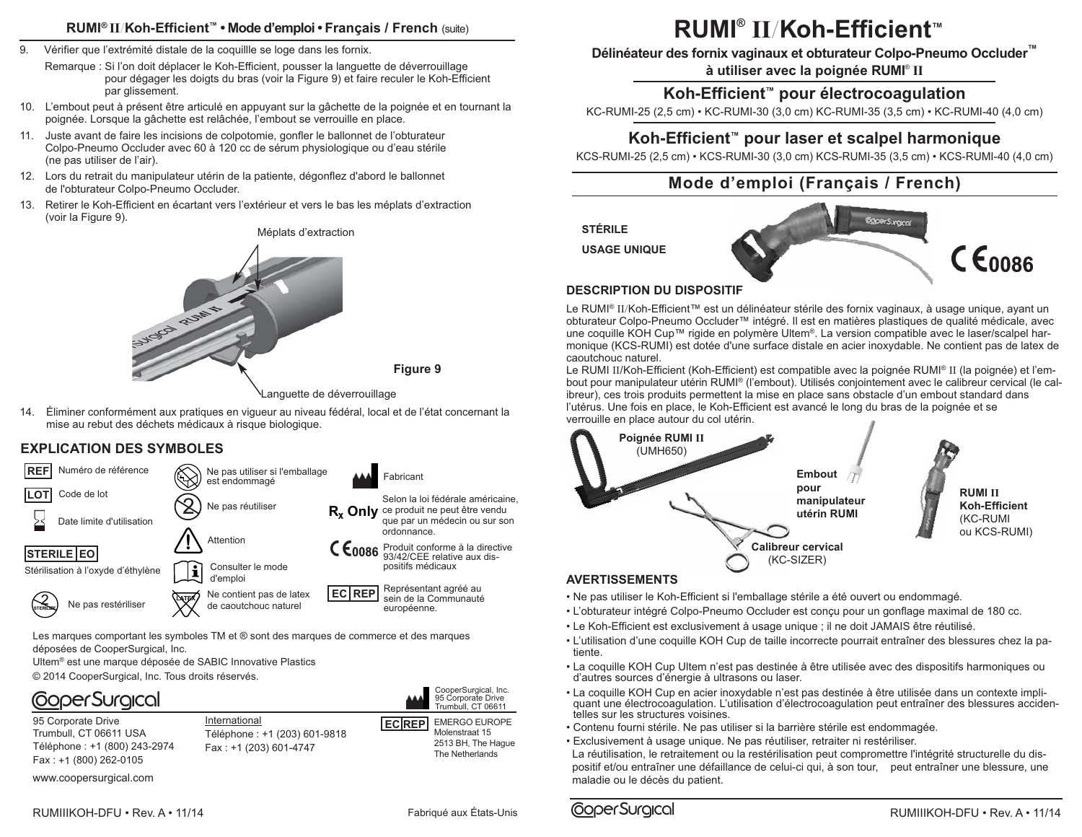### **RUMI® II**/**Koh-Efficient™ • Mode d'emploi • Français / French** (suite)

- 9. Vérifier que l'extrémité distale de la coquillle se loge dans les fornix.
	- Remarque : Si l'on doit déplacer le Koh-Efficient, pousser la languette de déverrouillage pour dégager les doigts du bras (voir la Figure 9) et faire reculer le Koh-Efficient par glissement.
- 10. L'embout peut à présent être articulé en appuyant sur la gâchette de la poignée et en tournant la poignée. Lorsque la gâchette est relâchée, l'embout se verrouille en place.
- 11. Juste avant de faire les incisions de colpotomie, gonfler le ballonnet de l'obturateur Colpo-Pneumo Occluder avec 60 à 120 cc de sérum physiologique ou d'eau stérile (ne pas utiliser de l'air).
- 12. Lors du retrait du manipulateur utérin de la patiente, dégonflez d'abord le ballonnet de l'obturateur Colpo-Pneumo Occluder.
- 13. Retirer le Koh-Efficient en écartant vers l'extérieur et vers le bas les méplats d'extraction (voir la Figure 9).

Méplats d'extraction



Languette de déverrouillage

**Figure 9**

14. Éliminer conformément aux pratiques en vigueur au niveau fédéral, local et de l'état concernant la mise au rebut des déchets médicaux à risque biologique.

### **EXPLICATION DES SYMBOLES**



Les marques comportant les symboles TM et ® sont des marques de commerce et des marques déposées de CooperSurgical, Inc.

Ultem® est une marque déposée de SABIC Innovative Plastics

© 2014 CooperSurgical, Inc. Tous droits réservés.

# **CoperSurgical**

95 Corporate Drive Trumbull, CT 06611 USA Téléphone : +1 (800) 243-2974 Fax : +1 (800) 262-0105

International Téléphone : +1 (203) 601-9818 Fax : +1 (203) 601-4747



CooperSurgical, Inc.

www.coopersurgical.com

RUMIIIKOH-DFU • Rev. A • 11/14

# **RUMI® II**/**Koh-Efficient™**

**Délinéateur des fornix vaginaux et obturateur Colpo-Pneumo Occluder™ à utiliser avec la poignée RUMI**® **II**

### **Koh-Efficient™ pour électrocoagulation**

KC-RUMI-25 (2,5 cm) • KC-RUMI-30 (3,0 cm) KC-RUMI-35 (3,5 cm) • KC-RUMI-40 (4,0 cm)

### **Koh-Efficient™ pour laser et scalpel harmonique**

KCS-RUMI-25 (2,5 cm) • KCS-RUMI-30 (3,0 cm) KCS-RUMI-35 (3,5 cm) • KCS-RUMI-40 (4,0 cm)

## **Mode d'emploi (Français / French)**

**STÉRILE**

**USAGE UNIQUE**



### **DESCRIPTION DU DISPOSITIF**

Le RUMI® II/Koh-Efficient™ est un délinéateur stérile des fornix vaginaux, à usage unique, ayant un obturateur Colpo-Pneumo Occluder™ intégré. Il est en matières plastiques de qualité médicale, avec une coquille KOH Cup™ rigide en polymère Ultem®. La version compatible avec le laser/scalpel harmonique (KCS-RUMI) est dotée d'une surface distale en acier inoxydable. Ne contient pas de latex de caoutchouc naturel.

Le RUMI II/Koh-Efficient (Koh-Efficient) est compatible avec la poignée RUMI® II (la poignée) et l'embout pour manipulateur utérin RUMI® (l'embout). Utilisés conjointement avec le calibreur cervical (le calibreur), ces trois produits permettent la mise en place sans obstacle d'un embout standard dans l'utérus. Une fois en place, le Koh-Efficient est avancé le long du bras de la poignée et se verrouille en place autour du col utérin.



### • Ne pas utiliser le Koh-Efficient si l'emballage stérile a été ouvert ou endommagé.

- L'obturateur intégré Colpo-Pneumo Occluder est conçu pour un gonflage maximal de 180 cc.
- Le Koh-Efficient est exclusivement à usage unique ; il ne doit JAMAIS être réutilisé.
- L'utilisation d'une coquille KOH Cup de taille incorrecte pourrait entraîner des blessures chez la patiente.
- La coquille KOH Cup Ultem n'est pas destinée à être utilisée avec des dispositifs harmoniques ou d'autres sources d'énergie à ultrasons ou laser.
- La coquille KOH Cup en acier inoxydable n'est pas destinée à être utilisée dans un contexte impliquant une électrocoagulation. L'utilisation d'électrocoagulation peut entraîner des blessures accidentelles sur les structures voisines.
- Contenu fourni stérile. Ne pas utiliser si la barrière stérile est endommagée.
- Exclusivement à usage unique. Ne pas réutiliser, retraiter ni restériliser.

La réutilisation, le retraitement ou la restérilisation peut compromettre l'intégrité structurelle du dispositif et/ou entraîner une défaillance de celui-ci qui, à son tour, peut entraîner une blessure, une maladie ou le décès du patient.

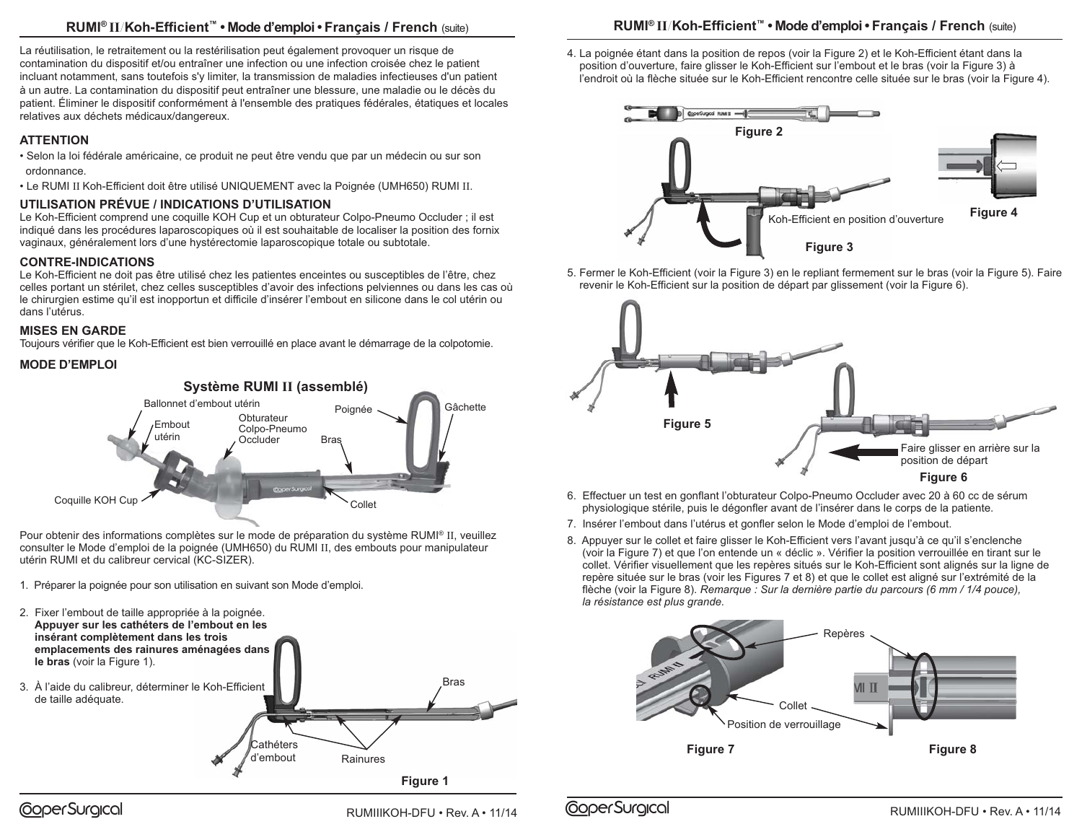### **RUMI® II**/**Koh-Efficient™ • Mode d'emploi • Français / French** (suite)

La réutilisation, le retraitement ou la restérilisation peut également provoquer un risque de contamination du dispositif et/ou entraîner une infection ou une infection croisée chez le patient incluant notamment, sans toutefois s'y limiter, la transmission de maladies infectieuses d'un patient à un autre. La contamination du dispositif peut entraîner une blessure, une maladie ou le décès du patient. Éliminer le dispositif conformément à l'ensemble des pratiques fédérales, étatiques et locales relatives aux déchets médicaux/dangereux.

### **ATTENTION**

- Selon la loi fédérale américaine, ce produit ne peut être vendu que par un médecin ou sur son ordonnance.
- Le RUMI II Koh-Efficient doit être utilisé UNIQUEMENT avec la Poignée (UMH650) RUMI II.

### **UTILISATION PRÉVUE / INDICATIONS D'UTILISATION**

Le Koh-Efficient comprend une coquille KOH Cup et un obturateur Colpo-Pneumo Occluder ; il est indiqué dans les procédures laparoscopiques où il est souhaitable de localiser la position des fornix vaginaux, généralement lors d'une hystérectomie laparoscopique totale ou subtotale.

### **CONTRE-INDICATIONS**

Le Koh-Efficient ne doit pas être utilisé chez les patientes enceintes ou susceptibles de l'être, chez celles portant un stérilet, chez celles susceptibles d'avoir des infections pelviennes ou dans les cas où le chirurgien estime qu'il est inopportun et difficile d'insérer l'embout en silicone dans le col utérin ou dans l'utérus.

### **MISES EN GARDE**

Toujours vérifier que le Koh-Efficient est bien verrouillé en place avant le démarrage de la colpotomie.

### **MODE D'EMPLOI**



Pour obtenir des informations complètes sur le mode de préparation du système RUMI® II, veuillez consulter le Mode d'emploi de la poignée (UMH650) du RUMI II, des embouts pour manipulateur utérin RUMI et du calibreur cervical (KC-SIZER).

- 1. Préparer la poignée pour son utilisation en suivant son Mode d'emploi.
- **Figure 1** Rainures Bras Cathéters d'embout 2. Fixer l'embout de taille appropriée à la poignée. **Appuyer sur les cathéters de l'embout en les insérant complètement dans les trois emplacements des rainures aménagées dans le bras** (voir la Figure 1). 3. À l'aide du calibreur, déterminer le Koh-Efficient de taille adéquate.

## **RUMI® II**/**Koh-Efficient™ • Mode d'emploi • Français / French** (suite)

4. La poignée étant dans la position de repos (voir la Figure 2) et le Koh-Efficient étant dans la position d'ouverture, faire glisser le Koh-Efficient sur l'embout et le bras (voir la Figure 3) à l'endroit où la flèche située sur le Koh-Efficient rencontre celle située sur le bras (voir la Figure 4).



5. Fermer le Koh-Efficient (voir la Figure 3) en le repliant fermement sur le bras (voir la Figure 5). Faire revenir le Koh-Efficient sur la position de départ par glissement (voir la Figure 6).



- 6. Effectuer un test en gonflant l'obturateur Colpo-Pneumo Occluder avec 20 à 60 cc de sérum physiologique stérile, puis le dégonfler avant de l'insérer dans le corps de la patiente.
- 7. Insérer l'embout dans l'utérus et gonfler selon le Mode d'emploi de l'embout.
- 8. Appuyer sur le collet et faire glisser le Koh-Efficient vers l'avant jusqu'à ce qu'il s'enclenche (voir la Figure 7) et que l'on entende un « déclic ». Vérifier la position verrouillée en tirant sur le collet. Vérifier visuellement que les repères situés sur le Koh-Efficient sont alignés sur la ligne de repère située sur le bras (voir les Figures 7 et 8) et que le collet est aligné sur l'extrémité de la flèche (voir la Figure 8). *Remarque : Sur la dernière partie du parcours (6 mm / 1/4 pouce), la résistance est plus grande.*



RUMIIIKOH-DFU • Rev. A • 11/14 **COPER CORPO CONTENTE E ENGLISHED A BUMIIIKOH-DFU** • Rev. A • 11/14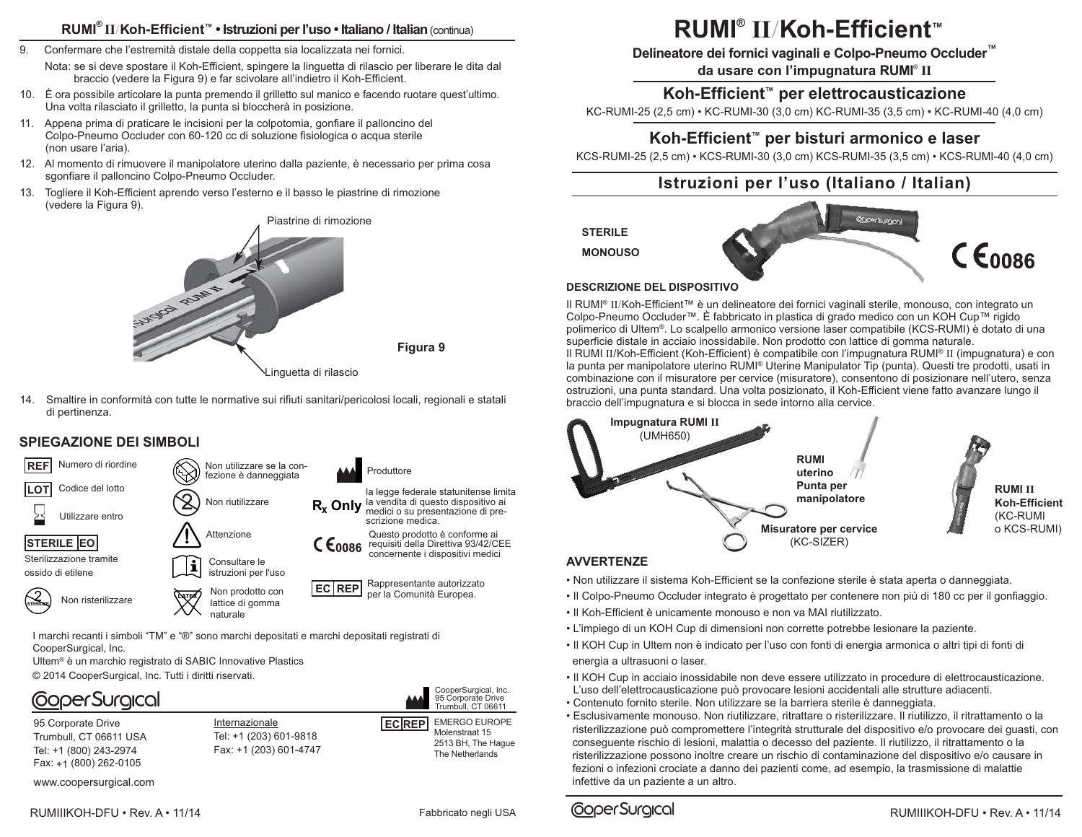### **RUMI® II**/**Koh-Efficient™ • Istruzioni per l'uso • Italiano / Italian**(continua)

- 9. Confermare che l'estremità distale della coppetta sia localizzata nei fornici.
	- Nota: se si deve spostare il Koh-Efficient, spingere la linguetta di rilascio per liberare le dita dal braccio (vedere la Figura 9) e far scivolare all'indietro il Koh-Efficient.
- 10. È ora possibile articolare la punta premendo il grilletto sul manico e facendo ruotare quest'ultimo. Una volta rilasciato il grilletto, la punta si bloccherà in posizione.
- 11. Appena prima di praticare le incisioni per la colpotomia, gonfiare il palloncino del Colpo-Pneumo Occluder con 60-120 cc di soluzione fisiologica o acqua sterile (non usare l'aria).
- 12. Al momento di rimuovere il manipolatore uterino dalla paziente, è necessario per prima cosa sgonfiare il palloncino Colpo-Pneumo Occluder.
- 13. Togliere il Koh-Efficient aprendo verso l'esterno e il basso le piastrine di rimozione (vedere la Figura 9).





14. Smaltire in conformità con tutte le normative sui rifiuti sanitari/pericolosi locali, regionali e statali di pertinenza.



I marchi recanti i simboli "TM" e "®" sono marchi depositati e marchi depositati registrati di CooperSurgical, Inc.

Ultem® è un marchio registrato di SABIC Innovative Plastics © 2014 CooperSurgical, Inc. Tutti i diritti riservati.

# **CoperSurgical**

95 Corporate Drive Trumbull, CT 06611 USA Tel: +1 (800) 243-2974 Fax: +1 (800) 262-0105

Internazionale Tel: +1 (203) 601-9818 Fax: +1 (203) 601-4747



CooperSurgical, Inc.

**Figura 9**

www.coopersurgical.com

RUMIIIKOH-DFU • Rev. A • 11/14 **Fabbricato negli USA** 

# **RUMI® II**/**Koh-Efficient™**

**Delineatore dei fornici vaginali e Colpo-Pneumo Occluder™**

**da usare con l'impugnatura RUMI**® **II**

### **Koh-Efficient™ per elettrocausticazione**

KC-RUMI-25 (2,5 cm) • KC-RUMI-30 (3,0 cm) KC-RUMI-35 (3,5 cm) • KC-RUMI-40 (4,0 cm)

### **Koh-Efficient™ per bisturi armonico e laser**

KCS-RUMI-25 (2,5 cm) • KCS-RUMI-30 (3,0 cm) KCS-RUMI-35 (3,5 cm) • KCS-RUMI-40 (4,0 cm)

## **Istruzioni per l'uso (Italiano / Italian)**

**STERILE**

**MONOUSO**



### **DESCRIZIONE DEL DISPOSITIVO**

Il RUMI® II/Koh-Efficient™ è un delineatore dei fornici vaginali sterile, monouso, con integrato un Colpo-Pneumo Occluder™. È fabbricato in plastica di grado medico con un KOH Cup™ rigido polimerico di Ultem®. Lo scalpello armonico versione laser compatibile (KCS-RUMI) è dotato di una superficie distale in acciaio inossidabile. Non prodotto con lattice di gomma naturale. Il RUMI II/Koh-Efficient (Koh-Efficient) è compatibile con l'impugnatura RUMI® II (impugnatura) e con la punta per manipolatore uterino RUMI® Uterine Manipulator Tip (punta). Questi tre prodotti, usati in combinazione con il misuratore per cervice (misuratore), consentono di posizionare nell'utero, senza ostruzioni, una punta standard. Una volta posizionato, il Koh-Efficient viene fatto avanzare lungo il braccio dell'impugnatura e si blocca in sede intorno alla cervice.



### **AVVERTENZE**

- Non utilizzare il sistema Koh-Efficient se la confezione sterile è stata aperta o danneggiata.
- Il Colpo-Pneumo Occluder integrato è progettato per contenere non più di 180 cc per il gonfiaggio.
- Il Koh-Efficient è unicamente monouso e non va MAI riutilizzato.
- L'impiego di un KOH Cup di dimensioni non corrette potrebbe lesionare la paziente.
- Il KOH Cup in Ultem non è indicato per l'uso con fonti di energia armonica o altri tipi di fonti di energia a ultrasuoni o laser.
- Il KOH Cup in acciaio inossidabile non deve essere utilizzato in procedure di elettrocausticazione. L'uso dell'elettrocausticazione può provocare lesioni accidentali alle strutture adiacenti.
- Contenuto fornito sterile. Non utilizzare se la barriera sterile è danneggiata.
- Esclusivamente monouso. Non riutilizzare, ritrattare o risterilizzare. Il riutilizzo, il ritrattamento o la risterilizzazione può compromettere l'integrità strutturale del dispositivo e/o provocare dei guasti, con conseguente rischio di lesioni, malattia o decesso del paziente. Il riutilizzo, il ritrattamento o la risterilizzazione possono inoltre creare un rischio di contaminazione del dispositivo e/o causare in fezioni o infezioni crociate a danno dei pazienti come, ad esempio, la trasmissione di malattie infettive da un paziente a un altro.

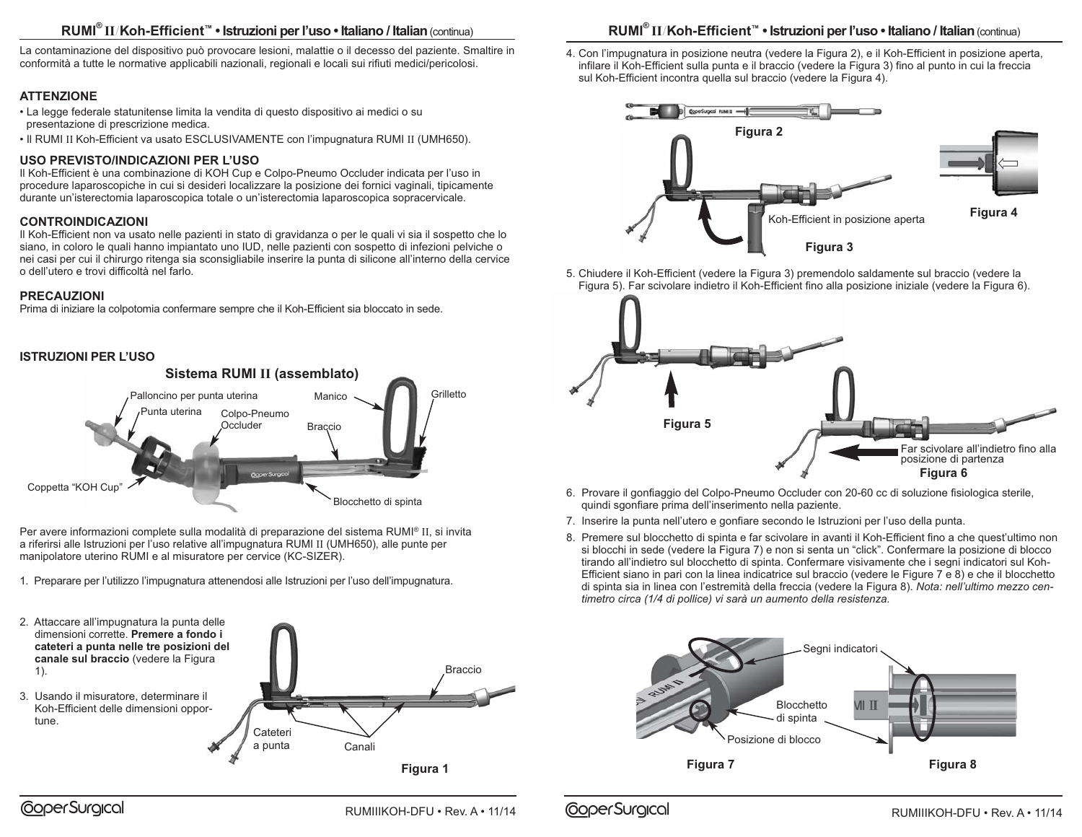### **RUMI® II**/**Koh-Efficient™ • Istruzioni per l'uso • Italiano / Italian**(continua)

La contaminazione del dispositivo può provocare lesioni, malattie o il decesso del paziente. Smaltire in conformità a tutte le normative applicabili nazionali, regionali e locali sui rifiuti medici/pericolosi.

### **ATTENZIONE**

- La legge federale statunitense limita la vendita di questo dispositivo ai medici o su presentazione di prescrizione medica.
- Il RUMI II Koh-Efficient va usato ESCLUSIVAMENTE con l'impugnatura RUMI II (UMH650).

### **USO PREVISTO/INDICAZIONI PER L'USO**

Il Koh-Efficient è una combinazione di KOH Cup e Colpo-Pneumo Occluder indicata per l'uso in procedure laparoscopiche in cui si desideri localizzare la posizione dei fornici vaginali, tipicamente durante un'isterectomia laparoscopica totale o un'isterectomia laparoscopica sopracervicale.

### **CONTROINDICAZIONI**

Il Koh-Efficient non va usato nelle pazienti in stato di gravidanza o per le quali vi sia il sospetto che lo siano, in coloro le quali hanno impiantato uno IUD, nelle pazienti con sospetto di infezioni pelviche o nei casi per cui il chirurgo ritenga sia sconsigliabile inserire la punta di silicone all'interno della cervice o dell'utero e trovi difficoltà nel farlo.

### **PRECAUZIONI**

Prima di iniziare la colpotomia confermare sempre che il Koh-Efficient sia bloccato in sede.

### **ISTRUZIONI PER L'USO**



Per avere informazioni complete sulla modalità di preparazione del sistema RUMI® II, si invita a riferirsi alle Istruzioni per l'uso relative all'impugnatura RUMI II (UMH650), alle punte per manipolatore uterino RUMI e al misuratore per cervice (KC-SIZER).

1. Preparare per l'utilizzo l'impugnatura attenendosi alle Istruzioni per l'uso dell'impugnatura.



### **RUMI® II**/**Koh-Efficient™ • Istruzioni per l'uso • Italiano / Italian**(continua)

4. Con l'impugnatura in posizione neutra (vedere la Figura 2), e il Koh-Efficient in posizione aperta, infilare il Koh-Efficient sulla punta e il braccio (vedere la Figura 3) fino al punto in cui la freccia sul Koh-Efficient incontra quella sul braccio (vedere la Figura 4).



5. Chiudere il Koh-Efficient (vedere la Figura 3) premendolo saldamente sul braccio (vedere la Figura 5). Far scivolare indietro il Koh-Efficient fino alla posizione iniziale (vedere la Figura 6).



- 6. Provare il gonfiaggio del Colpo-Pneumo Occluder con 20-60 cc di soluzione fisiologica sterile, quindi sgonfiare prima dell'inserimento nella paziente.
- 7. Inserire la punta nell'utero e gonfiare secondo le Istruzioni per l'uso della punta.
- 8. Premere sul blocchetto di spinta e far scivolare in avanti il Koh-Efficient fino a che quest'ultimo non si blocchi in sede (vedere la Figura 7) e non si senta un "click". Confermare la posizione di blocco tirando all'indietro sul blocchetto di spinta. Confermare visivamente che i segni indicatori sul Koh-Efficient siano in pari con la linea indicatrice sul braccio (vedere le Figure 7 e 8) e che il blocchetto di spinta sia in linea con l'estremità della freccia (vedere la Figura 8). *Nota: nell'ultimo mezzo centimetro circa (1/4 di pollice) vi sarà un aumento della resistenza.*

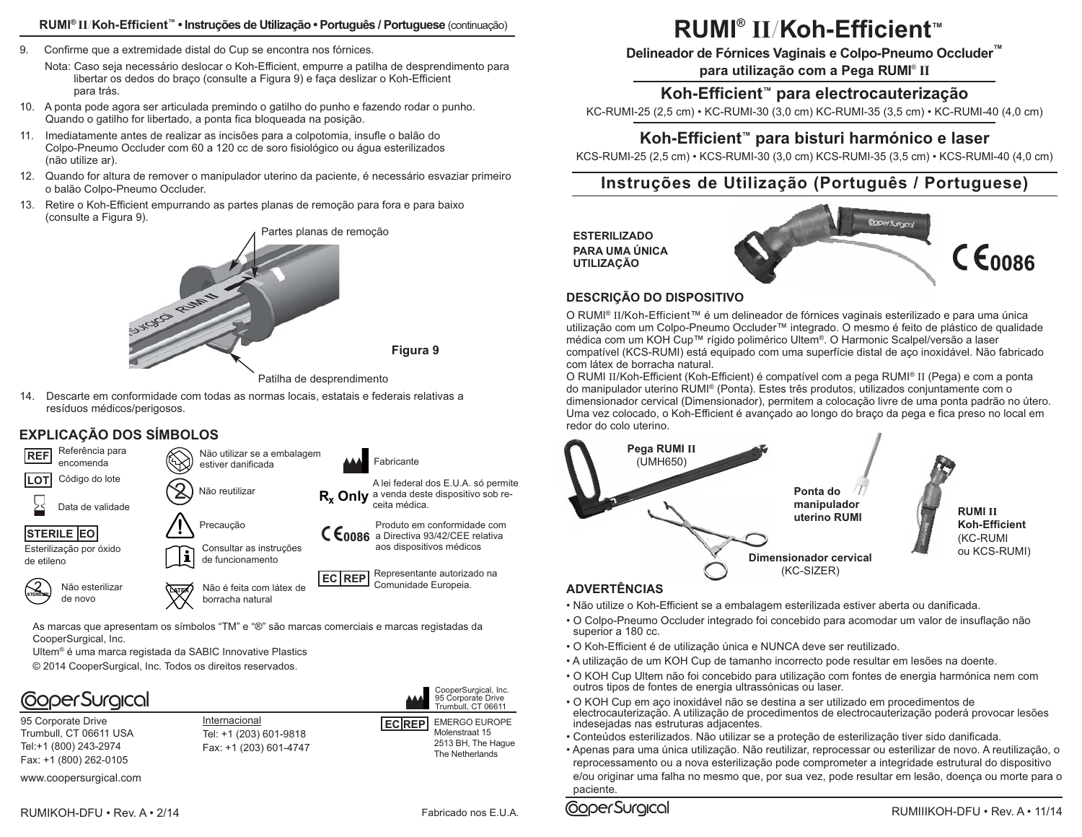#### **RUMI® II**/**Koh-Efficient™ • Instruções de Utilização • Português / Portuguese** (continuação)

- 9. Confirme que a extremidade distal do Cup se encontra nos fórnices.
	- Nota: Caso seja necessário deslocar o Koh-Efficient, empurre a patilha de desprendimento para libertar os dedos do braço (consulte a Figura 9) e faça deslizar o Koh-Efficient para trás.
- 10. A ponta pode agora ser articulada premindo o gatilho do punho e fazendo rodar o punho. Quando o gatilho for libertado, a ponta fica bloqueada na posição.
- 11. Imediatamente antes de realizar as incisões para a colpotomia, insufle o balão do Colpo-Pneumo Occluder com 60 a 120 cc de soro fisiológico ou água esterilizados (não utilize ar).
- 12. Quando for altura de remover o manipulador uterino da paciente, é necessário esvaziar primeiro o balão Colpo-Pneumo Occluder.
- 13. Retire o Koh-Efficient empurrando as partes planas de remoção para fora e para baixo (consulte a Figura 9).





**Figura 9**

14. Descarte em conformidade com todas as normas locais, estatais e federais relativas a resíduos médicos/perigosos.

### **EXPLICAÇÃO DOS SÍMBOLOS**



As marcas que apresentam os símbolos "TM" e "®" são marcas comerciais e marcas registadas da CooperSurgical, Inc.

Ultem® é uma marca registada da SABIC Innovative Plastics

© 2014 CooperSurgical, Inc. Todos os direitos reservados.

# **CoperSurgical**

95 Corporate Drive Trumbull, CT 06611 USA Tel:+1 (800) 243-2974 Fax: +1 (800) 262-0105

Internacional Tel: +1 (203) 601-9818 Fax: +1 (203) 601-4747



2513 BH, The Hague The Netherlands

www.coopersurgical.com

# **RUMI® II**/**Koh-Efficient™**

**Delineador de Fórnices Vaginais e Colpo-Pneumo Occluder™**

**para utilização com a Pega RUMI**® **II**

### **Koh-Efficient™ para electrocauterização**

KC-RUMI-25 (2,5 cm) • KC-RUMI-30 (3,0 cm) KC-RUMI-35 (3,5 cm) • KC-RUMI-40 (4,0 cm)

### **Koh-Efficient™ para bisturi harmónico e laser**

KCS-RUMI-25 (2,5 cm) • KCS-RUMI-30 (3,0 cm) KCS-RUMI-35 (3,5 cm) • KCS-RUMI-40 (4,0 cm)

## **Instruções de Utilização (Português / Portuguese)**

**ESTERILIZADO PARA UMA ÚNICA UTILIZAÇÃO**



### **DESCRIÇÃO DO DISPOSITIVO**

O RUMI® II/Koh-Efficient™ é um delineador de fórnices vaginais esterilizado e para uma única utilização com um Colpo-Pneumo Occluder™ integrado. O mesmo é feito de plástico de qualidade médica com um KOH Cup™ rígido polimérico Ultem®. O Harmonic Scalpel/versão a laser compatível (KCS-RUMI) está equipado com uma superfície distal de aço inoxidável. Não fabricado com látex de borracha natural.

O RUMI II/Koh-Efficient (Koh-Efficient) é compatível com a pega RUMI® II (Pega) e com a ponta do manipulador uterino RUMI® (Ponta). Estes três produtos, utilizados conjuntamente com o dimensionador cervical (Dimensionador), permitem a colocação livre de uma ponta padrão no útero. Uma vez colocado, o Koh-Efficient é avançado ao longo do braço da pega e fica preso no local em redor do colo uterino.



- Não utilize o Koh-Efficient se a embalagem esterilizada estiver aberta ou danificada.
- O Colpo-Pneumo Occluder integrado foi concebido para acomodar um valor de insuflação não superior a 180 cc.
- O Koh-Efficient é de utilização única e NUNCA deve ser reutilizado.
- A utilização de um KOH Cup de tamanho incorrecto pode resultar em lesões na doente.
- O KOH Cup Ultem não foi concebido para utilização com fontes de energia harmónica nem com outros tipos de fontes de energia ultrassónicas ou laser.
- O KOH Cup em aço inoxidável não se destina a ser utilizado em procedimentos de electrocauterização. A utilização de procedimentos de electrocauterização poderá provocar lesões indesejadas nas estruturas adjacentes.
- Conteúdos esterilizados. Não utilizar se a proteção de esterilização tiver sido danificada.
- Apenas para uma única utilização. Não reutilizar, reprocessar ou esterilizar de novo. A reutilização, o reprocessamento ou a nova esterilização pode comprometer a integridade estrutural do dispositivo e/ou originar uma falha no mesmo que, por sua vez, pode resultar em lesão, doença ou morte para o paciente.